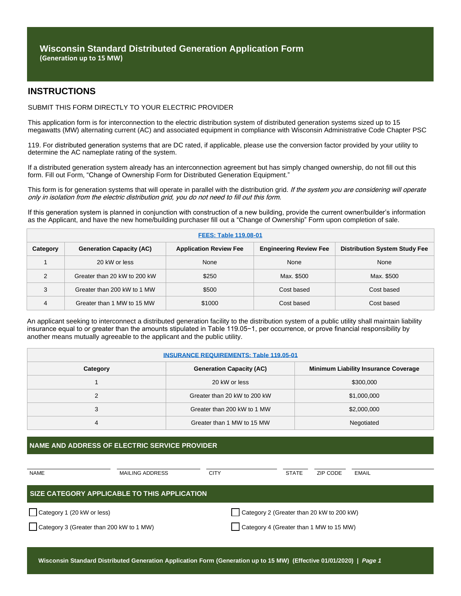# **Wisconsin Standard Distributed Generation Application Form (Generation up to 15 MW)**

# **INSTRUCTIONS**

#### SUBMIT THIS FORM DIRECTLY TO YOUR ELECTRIC PROVIDER

This application form is for interconnection to the electric distribution system of distributed generation systems sized up to 15 megawatts (MW) alternating current (AC) and associated equipment in compliance with Wisconsin Administrative Code Chapter PSC

119. For distributed generation systems that are DC rated, if applicable, please use the conversion factor provided by your utility to determine the AC nameplate rating of the system.

If a distributed generation system already has an interconnection agreement but has simply changed ownership, do not fill out this form. Fill out Form, "Change of Ownership Form for Distributed Generation Equipment."

This form is for generation systems that will operate in parallel with the distribution grid. If the system you are considering will operate only in isolation from the electric distribution grid, you do not need to fill out this form.

If this generation system is planned in conjunction with construction of a new building, provide the current owner/builder's information as the Applicant, and have the new home/building purchaser fill out a "Change of Ownership" Form upon completion of sale.

| <b>FEES: Table 119.08-01</b> |                                 |                               |                               |                                      |  |
|------------------------------|---------------------------------|-------------------------------|-------------------------------|--------------------------------------|--|
| Category                     | <b>Generation Capacity (AC)</b> | <b>Application Review Fee</b> | <b>Engineering Review Fee</b> | <b>Distribution System Study Fee</b> |  |
|                              | 20 kW or less                   | None                          | None                          | None                                 |  |
| ⌒                            | Greater than 20 kW to 200 kW    | \$250                         | Max. \$500                    | Max. \$500                           |  |
| 3                            | Greater than 200 kW to 1 MW     | \$500                         | Cost based                    | Cost based                           |  |
| 4                            | Greater than 1 MW to 15 MW      | \$1000                        | Cost based                    | Cost based                           |  |

An applicant seeking to interconnect a distributed generation facility to the distribution system of a public utility shall maintain liability insurance equal to or greater than the amounts stipulated in Table 119.05−1, per occurrence, or prove financial responsibility by another means mutually agreeable to the applicant and the public utility.

| <b>INSURANCE REQUIREMENTS: Table 119.05-01</b> |                                 |                                             |  |  |  |
|------------------------------------------------|---------------------------------|---------------------------------------------|--|--|--|
| Category                                       | <b>Generation Capacity (AC)</b> | <b>Minimum Liability Insurance Coverage</b> |  |  |  |
|                                                | 20 kW or less                   | \$300,000                                   |  |  |  |
| 2                                              | Greater than 20 kW to 200 kW    | \$1,000,000                                 |  |  |  |
| 3                                              | Greater than 200 kW to 1 MW     | \$2,000,000                                 |  |  |  |
|                                                | Greater than 1 MW to 15 MW      | Negotiated                                  |  |  |  |

### **NAME AND ADDRESS OF ELECTRIC SERVICE PROVIDER**

| <b>NAME</b>                                  | MAILING ADDRESS | <b>CITY</b>                               | STATE                                   | ZIP CODE | EMAIL |
|----------------------------------------------|-----------------|-------------------------------------------|-----------------------------------------|----------|-------|
| SIZE CATEGORY APPLICABLE TO THIS APPLICATION |                 |                                           |                                         |          |       |
| Category 1 (20 kW or less)                   |                 | Category 2 (Greater than 20 kW to 200 kW) |                                         |          |       |
| Category 3 (Greater than 200 kW to 1 MW)     |                 |                                           | Category 4 (Greater than 1 MW to 15 MW) |          |       |
|                                              |                 |                                           |                                         |          |       |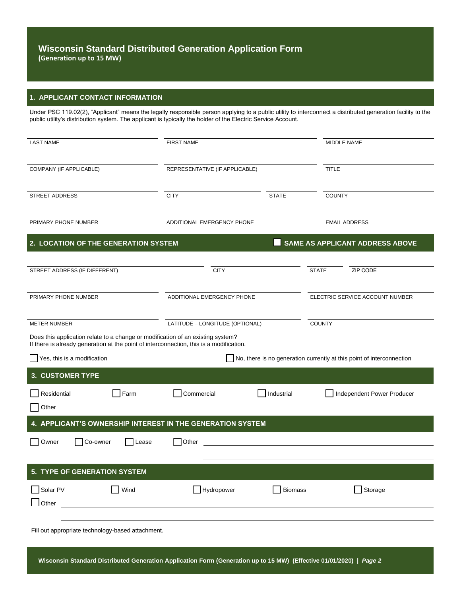# **Wisconsin Standard Distributed Generation Application Form (Generation up to 15 MW)**

#### **1. APPLICANT CONTACT INFORMATION**

Under PSC 119.02(2), "Applicant" means the legally responsible person applying to a public utility to interconnect a distributed generation facility to the public utility's distribution system. The applicant is typically the holder of the Electric Service Account.

| <b>LAST NAME</b>                                                                                       |                                                   | <b>FIRST NAME</b>                                                                       |                |                                 | MIDDLE NAME                                                           |  |
|--------------------------------------------------------------------------------------------------------|---------------------------------------------------|-----------------------------------------------------------------------------------------|----------------|---------------------------------|-----------------------------------------------------------------------|--|
| COMPANY (IF APPLICABLE)                                                                                |                                                   | REPRESENTATIVE (IF APPLICABLE)                                                          |                |                                 | <b>TITLE</b>                                                          |  |
| STREET ADDRESS                                                                                         |                                                   | <b>CITY</b>                                                                             | <b>STATE</b>   | <b>COUNTY</b>                   |                                                                       |  |
| PRIMARY PHONE NUMBER                                                                                   |                                                   | ADDITIONAL EMERGENCY PHONE                                                              |                |                                 | <b>EMAIL ADDRESS</b>                                                  |  |
|                                                                                                        | 2. LOCATION OF THE GENERATION SYSTEM              |                                                                                         |                |                                 | SAME AS APPLICANT ADDRESS ABOVE                                       |  |
| STREET ADDRESS (IF DIFFERENT)                                                                          |                                                   | <b>CITY</b>                                                                             |                | <b>STATE</b>                    | <b>ZIP CODE</b>                                                       |  |
| PRIMARY PHONE NUMBER                                                                                   |                                                   | ADDITIONAL EMERGENCY PHONE                                                              |                | ELECTRIC SERVICE ACCOUNT NUMBER |                                                                       |  |
| <b>METER NUMBER</b><br>Does this application relate to a change or modification of an existing system? |                                                   | LATITUDE - LONGITUDE (OPTIONAL)                                                         |                | <b>COUNTY</b>                   |                                                                       |  |
| Yes, this is a modification                                                                            |                                                   | If there is already generation at the point of interconnection, this is a modification. |                |                                 | No, there is no generation currently at this point of interconnection |  |
| 3. CUSTOMER TYPE                                                                                       |                                                   |                                                                                         |                |                                 |                                                                       |  |
| Residential<br>Other                                                                                   | $\Box$ Farm                                       | Commercial                                                                              | Industrial     |                                 | Independent Power Producer                                            |  |
|                                                                                                        |                                                   | APPLICANT'S OWNERSHIP INTEREST IN THE GENERATION SYSTEM                                 |                |                                 |                                                                       |  |
| Owner                                                                                                  | Co-owner<br>Lease                                 | Other                                                                                   |                |                                 |                                                                       |  |
|                                                                                                        | YPE OF GENERATION SYSTEM                          |                                                                                         |                |                                 |                                                                       |  |
| Solar PV<br>Other                                                                                      | Wind                                              | $\Box$ Hydropower                                                                       | <b>Biomass</b> |                                 | $\Box$ Storage                                                        |  |
|                                                                                                        | Fill out appropriate technology-based attachment. |                                                                                         |                |                                 |                                                                       |  |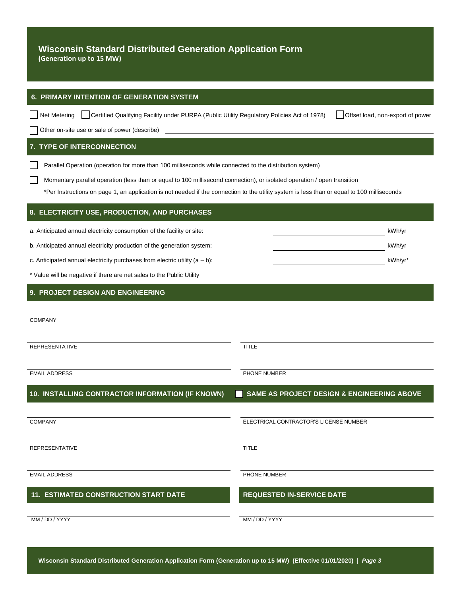### **6. PRIMARY INTENTION OF GENERATION SYSTEM**

Net Metering Certified Qualifying Facility under PURPA (Public Utility Regulatory Policies Act of 1978) Offset load, non-export of power

Other on-site use or sale of power (describe)

### **7. TYPE OF INTERCONNECTION**

Parallel Operation (operation for more than 100 milliseconds while connected to the distribution system) П

 $\Box$ Momentary parallel operation (less than or equal to 100 millisecond connection), or isolated operation / open transition

\*Per Instructions on page 1, an application is not needed if the connection to the utility system is less than or equal to 100 milliseconds

# **8. ELECTRICITY USE, PRODUCTION, AND PURCHASES**

a. Anticipated annual electricity consumption of the facility or site: kWh/yr

b. Anticipated annual electricity production of the generation system: kWh/yr

c. Anticipated annual electricity purchases from electric utility  $(a - b)$ : kWh/yr\*

\* Value will be negative if there are net sales to the Public Utility

#### **9. PROJECT DESIGN AND ENGINEERING**

| <b>COMPANY</b>                                   |                                                   |
|--------------------------------------------------|---------------------------------------------------|
| <b>REPRESENTATIVE</b>                            | <b>TITLE</b>                                      |
| <b>EMAIL ADDRESS</b>                             | PHONE NUMBER                                      |
| 10. INSTALLING CONTRACTOR INFORMATION (IF KNOWN) | SAME AS PROJECT DESIGN & ENGINEERING ABOVE<br>T I |
|                                                  |                                                   |
| <b>COMPANY</b>                                   | ELECTRICAL CONTRACTOR'S LICENSE NUMBER            |
| <b>REPRESENTATIVE</b>                            | <b>TITLE</b>                                      |
|                                                  |                                                   |
| <b>EMAIL ADDRESS</b>                             | PHONE NUMBER                                      |
| 11. ESTIMATED CONSTRUCTION START DATE            | <b>REQUESTED IN-SERVICE DATE</b>                  |
|                                                  |                                                   |
| MM / DD / YYYY                                   | MM / DD / YYYY                                    |